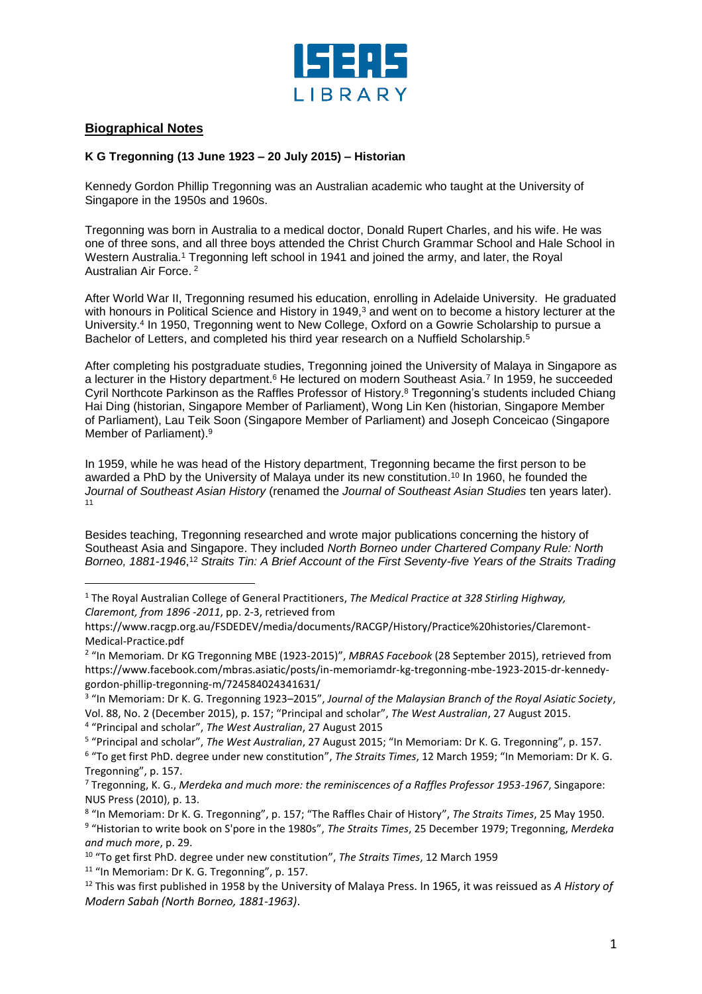

## **Biographical Notes**

l

## **K G Tregonning (13 June 1923 – 20 July 2015) – Historian**

Kennedy Gordon Phillip Tregonning was an Australian academic who taught at the University of Singapore in the 1950s and 1960s.

Tregonning was born in Australia to a medical doctor, Donald Rupert Charles, and his wife. He was one of three sons, and all three boys attended the Christ Church Grammar School and Hale School in Western Australia. <sup>1</sup> Tregonning left school in 1941 and joined the army, and later, the Royal Australian Air Force. <sup>2</sup>

After World War II, Tregonning resumed his education, enrolling in Adelaide University. He graduated with honours in Political Science and History in 1949, <sup>3</sup> and went on to become a history lecturer at the University.<sup>4</sup> In 1950, Tregonning went to New College, Oxford on a Gowrie Scholarship to pursue a Bachelor of Letters, and completed his third year research on a Nuffield Scholarship.<sup>5</sup>

After completing his postgraduate studies, Tregonning joined the University of Malaya in Singapore as a lecturer in the History department.<sup>6</sup> He lectured on modern Southeast Asia.<sup>7</sup> In 1959, he succeeded Cyril Northcote Parkinson as the Raffles Professor of History.<sup>8</sup> Tregonning's students included Chiang Hai Ding (historian, Singapore Member of Parliament), Wong Lin Ken (historian, Singapore Member of Parliament), Lau Teik Soon (Singapore Member of Parliament) and Joseph Conceicao (Singapore Member of Parliament).<sup>9</sup>

In 1959, while he was head of the History department, Tregonning became the first person to be awarded a PhD by the University of Malaya under its new constitution. <sup>10</sup> In 1960, he founded the *Journal of Southeast Asian History* (renamed the *Journal of Southeast Asian Studies* ten years later). 11

Besides teaching, Tregonning researched and wrote major publications concerning the history of Southeast Asia and Singapore. They included *North Borneo under Chartered Company Rule: North*  Borneo, 1881-1946,<sup>12</sup> Straits Tin: A Brief Account of the First Seventy-five Years of the Straits Trading

3 "In Memoriam: Dr K. G. Tregonning 1923–2015", *Journal of the Malaysian Branch of the Royal Asiatic Society*, Vol. 88, No. 2 (December 2015), p. 157; "Principal and scholar", *The West Australian*, 27 August 2015.

4 "Principal and scholar", *The West Australian*, 27 August 2015

<sup>11</sup> "In Memoriam: Dr K. G. Tregonning", p. 157.

<sup>1</sup> The Royal Australian College of General Practitioners, *The Medical Practice at 328 Stirling Highway, Claremont, from 1896 -2011*, pp. 2-3, retrieved from

https://www.racgp.org.au/FSDEDEV/media/documents/RACGP/History/Practice%20histories/Claremont-Medical-Practice.pdf

<sup>2</sup> "In Memoriam. Dr KG Tregonning MBE (1923-2015)", *MBRAS Facebook* (28 September 2015), retrieved from https://www.facebook.com/mbras.asiatic/posts/in-memoriamdr-kg-tregonning-mbe-1923-2015-dr-kennedygordon-phillip-tregonning-m/724584024341631/

<sup>5</sup> "Principal and scholar", *The West Australian*, 27 August 2015; "In Memoriam: Dr K. G. Tregonning", p. 157. 6 "To get first PhD. degree under new constitution", *The Straits Times*, 12 March 1959; "In Memoriam: Dr K. G. Tregonning", p. 157.

<sup>7</sup> Tregonning, K. G., *Merdeka and much more: the reminiscences of a Raffles Professor 1953-1967*, Singapore: NUS Press (2010), p. 13.

<sup>8</sup> "In Memoriam: Dr K. G. Tregonning", p. 157; "The Raffles Chair of History", *The Straits Times*, 25 May 1950. 9 "Historian to write book on S'pore in the 1980s", *The Straits Times*, 25 December 1979; Tregonning, *Merdeka and much more*, p. 29.

<sup>10</sup> "To get first PhD. degree under new constitution", *The Straits Times*, 12 March 1959

<sup>12</sup> This was first published in 1958 by the University of Malaya Press. In 1965, it was reissued as *A History of Modern Sabah (North Borneo, 1881-1963)*.